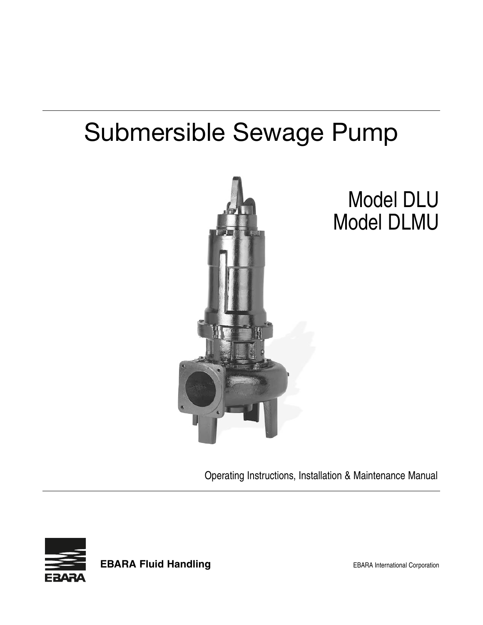# Submersible Sewage Pump



# Model DLU Model DLMU

Operating Instructions, Installation & Maintenance Manual



**EBARA Fluid Handling EBARA** International Corporation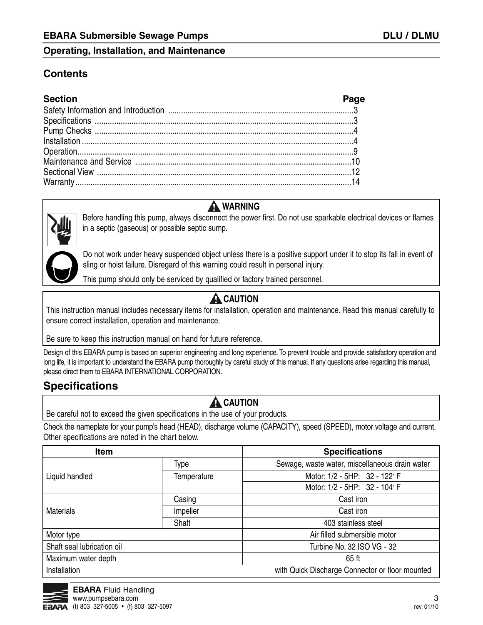### **Contents**

| <b>Section</b>                                | Page |
|-----------------------------------------------|------|
|                                               |      |
| Specifications<br>Pump Checks<br>Installation |      |
|                                               |      |
|                                               |      |
|                                               |      |
|                                               |      |
|                                               |      |
|                                               |      |



## **A** WARNING

Before handling this pump, always disconnect the power first. Do not use sparkable electrical devices or flames in a septic (gaseous) or possible septic sump.

Do not work under heavy suspended object unless there is a positive support under it to stop its fall in event of sling or hoist failure. Disregard of this warning could result in personal injury.

This pump should only be serviced by qualified or factory trained personnel.

# **A** CAUTION

This instruction manual includes necessary items for installation, operation and maintenance. Read this manual carefully to ensure correct installation, operation and maintenance.

Be sure to keep this instruction manual on hand for future reference.

Design of this EBARA pump is based on superior engineering and long experience. To prevent trouble and provide satisfactory operation and long life, it is important to understand the EBARA pump thoroughly by careful study of this manual. If any questions arise regarding this manual, please direct them to EBARA INTERNATIONAL CORPORATION.

# **Specifications**

# **A** CAUTION

Be careful not to exceed the given specifications in the use of your products.

Check the nameplate for your pump's head (HEAD), discharge volume (CAPACITY), speed (SPEED), motor voltage and current. Other specifications are noted in the chart below.

| <b>Item</b>                |             | <b>Specifications</b>                           |  |
|----------------------------|-------------|-------------------------------------------------|--|
|                            | Type        | Sewage, waste water, miscellaneous drain water  |  |
| Liquid handled             | Temperature | Motor: 1/2 - 5HP: 32 - 122° F                   |  |
|                            |             | Motor: 1/2 - 5HP: 32 - 104° F                   |  |
|                            | Casing      | Cast iron                                       |  |
| <b>Materials</b>           | Impeller    | Cast iron                                       |  |
|                            | Shaft       | 403 stainless steel                             |  |
| Motor type                 |             | Air filled submersible motor                    |  |
| Shaft seal lubrication oil |             | Turbine No. 32 ISO VG - 32                      |  |
| Maximum water depth        |             | 65 ft                                           |  |
| Installation               |             | with Quick Discharge Connector or floor mounted |  |

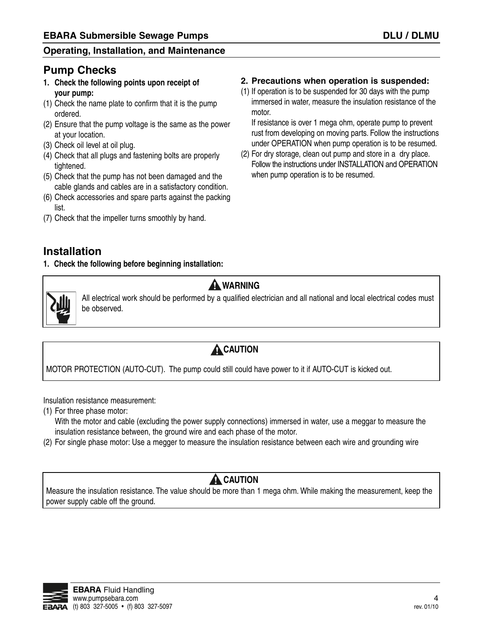## **Pump Checks**

- **1. Check the following points upon receipt of your pump:**
- (1) Check the name plate to confirm that it is the pump ordered.
- (2) Ensure that the pump voltage is the same as the power at your location.
- (3) Check oil level at oil plug.
- (4) Check that all plugs and fastening bolts are properly tightened.
- (5) Check that the pump has not been damaged and the cable glands and cables are in a satisfactory condition.
- (6) Check accessories and spare parts against the packing list.
- (7) Check that the impeller turns smoothly by hand.

### **2. Precautions when operation is suspended:**

(1) If operation is to be suspended for 30 days with the pump immersed in water, measure the insulation resistance of the motor.

If resistance is over 1 mega ohm, operate pump to prevent rust from developing on moving parts. Follow the instructions under OPERATION when pump operation is to be resumed.

(2) For dry storage, clean out pump and store in a dry place. Follow the instructions under INSTALLATION and OPERATION when pump operation is to be resumed.

# **Installation**

**1. Check the following before beginning installation:**



# **A** WARNING

All electrical work should be performed by a qualified electrician and all national and local electrical codes must be observed.

# **A**CAUTION

MOTOR PROTECTION (AUTO-CUT). The pump could still could have power to it if AUTO-CUT is kicked out.

Insulation resistance measurement:

(1) For three phase motor:

With the motor and cable (excluding the power supply connections) immersed in water, use a meggar to measure the insulation resistance between, the ground wire and each phase of the motor.

(2) For single phase motor: Use a megger to measure the insulation resistance between each wire and grounding wire

# **A** CAUTION

Measure the insulation resistance. The value should be more than 1 mega ohm. While making the measurement, keep the power supply cable off the ground.

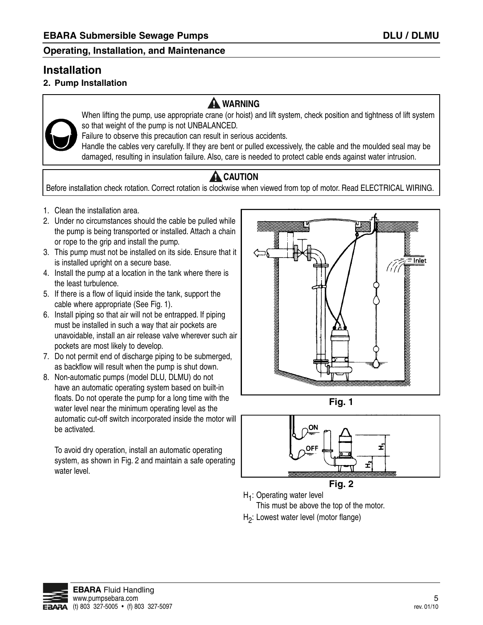# **Installation**

### **2. Pump Installation**

## **A** WARNING



When lifting the pump, use appropriate crane (or hoist) and lift system, check position and tightness of lift system so that weight of the pump is not UNBALANCED.

Failure to observe this precaution can result in serious accidents.

Handle the cables very carefully. If they are bent or pulled excessively, the cable and the moulded seal may be damaged, resulting in insulation failure. Also, care is needed to protect cable ends against water intrusion.

# **A** CAUTION

Before installation check rotation. Correct rotation is clockwise when viewed from top of motor. Read ELECTRICAL WIRING.

- 1. Clean the installation area.
- 2. Under no circumstances should the cable be pulled while the pump is being transported or installed. Attach a chain or rope to the grip and install the pump.
- 3. This pump must not be installed on its side. Ensure that it is installed upright on a secure base.
- 4. Install the pump at a location in the tank where there is the least turbulence.
- 5. If there is a flow of liquid inside the tank, support the cable where appropriate (See Fig. 1).
- 6. Install piping so that air will not be entrapped. If piping must be installed in such a way that air pockets are unavoidable, install an air release valve wherever such air pockets are most likely to develop.
- 7. Do not permit end of discharge piping to be submerged, as backflow will result when the pump is shut down.
- 8. Non-automatic pumps (model DLU, DLMU) do not have an automatic operating system based on built-in floats. Do not operate the pump for a long time with the water level near the minimum operating level as the automatic cut-off switch incorporated inside the motor will be activated.

To avoid dry operation, install an automatic operating system, as shown in Fig. 2 and maintain a safe operating water level.



**Fig. 1**



**Fig. 2**

H<sub>1</sub>: Operating water level

This must be above the top of the motor.

H2: Lowest water level (motor flange)

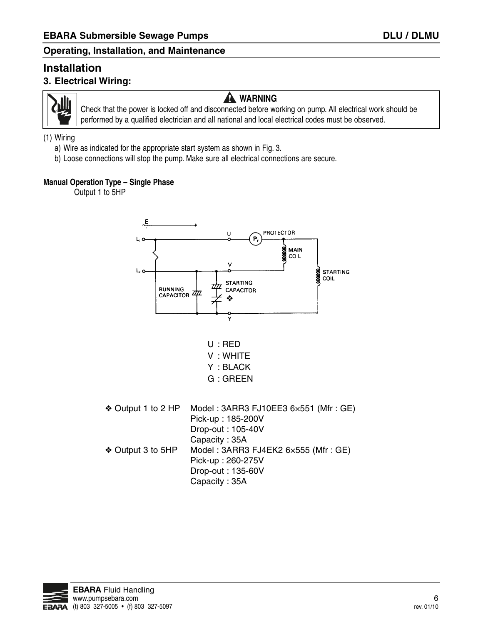### **Installation 3. Electrical Wiring:**



# **A** WARNING

Check that the power is locked off and disconnected before working on pump. All electrical work should be performed by a qualified electrician and all national and local electrical codes must be observed.

### (1) Wiring

- a) Wire as indicated for the appropriate start system as shown in Fig. 3.
- b) Loose connections will stop the pump. Make sure all electrical connections are secure.

### **Manual Operation Type – Single Phase**

Output 1 to 5HP



Capacity : 35A

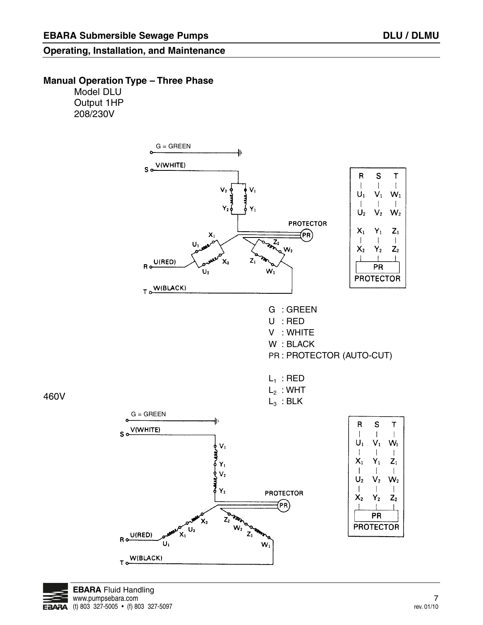### **Manual Operation Type – Three Phase**

Model DLU Output 1HP 208/230V





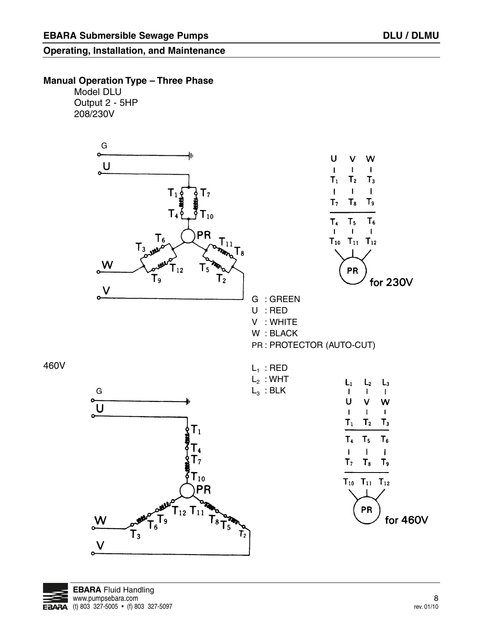### **Manual Operation Type – Three Phase**

Model DLU Output 2 - 5HP 208/230V



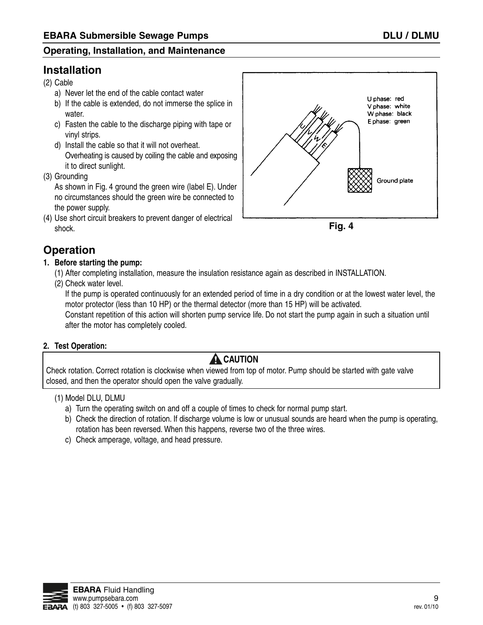# **Installation**

- (2) Cable
	- a) Never let the end of the cable contact water
	- b) If the cable is extended, do not immerse the splice in water.
	- c) Fasten the cable to the discharge piping with tape or vinyl strips.
	- d) Install the cable so that it will not overheat. Overheating is caused by coiling the cable and exposing it to direct sunlight.
- (3) Grounding

As shown in Fig. 4 ground the green wire (label E). Under no circumstances should the green wire be connected to the power supply.

(4) Use short circuit breakers to prevent danger of electrical shock.





# **Operation**

- **1. Before starting the pump:**
	- (1) After completing installation, measure the insulation resistance again as described in INSTALLATION.
	- (2) Check water level.

If the pump is operated continuously for an extended period of time in a dry condition or at the lowest water level, the motor protector (less than 10 HP) or the thermal detector (more than 15 HP) will be activated.

Constant repetition of this action will shorten pump service life. Do not start the pump again in such a situation until after the motor has completely cooled.

### **2. Test Operation:**

# **A** CAUTION

Check rotation. Correct rotation is clockwise when viewed from top of motor. Pump should be started with gate valve closed, and then the operator should open the valve gradually.

### (1) Model DLU, DLMU

- a) Turn the operating switch on and off a couple of times to check for normal pump start.
- b) Check the direction of rotation. If discharge volume is low or unusual sounds are heard when the pump is operating, rotation has been reversed. When this happens, reverse two of the three wires.
- c) Check amperage, voltage, and head pressure.

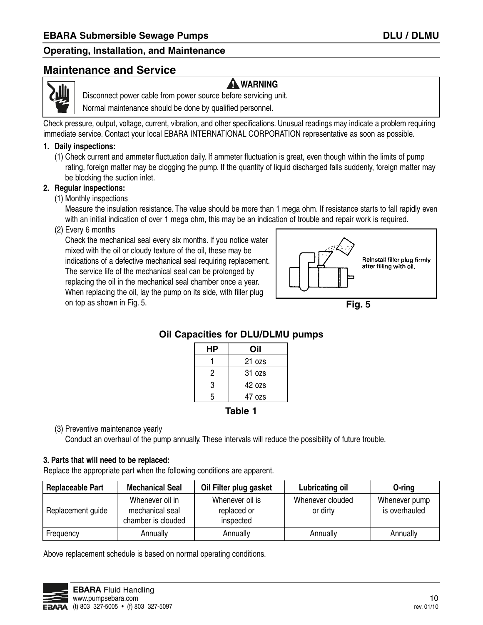### **Maintenance and Service**



**A** WARNING

Disconnect power cable from power source before servicing unit.

Normal maintenance should be done by qualified personnel.

Check pressure, output, voltage, current, vibration, and other specifications. Unusual readings may indicate a problem requiring immediate service. Contact your local EBARA INTERNATIONAL CORPORATION representative as soon as possible.

#### **1. Daily inspections:**

(1) Check current and ammeter fluctuation daily. If ammeter fluctuation is great, even though within the limits of pump rating, foreign matter may be clogging the pump. If the quantity of liquid discharged falls suddenly, foreign matter may be blocking the suction inlet.

### **2. Regular inspections:**

(1) Monthly inspections

Measure the insulation resistance. The value should be more than 1 mega ohm. If resistance starts to fall rapidly even with an initial indication of over 1 mega ohm, this may be an indication of trouble and repair work is required.

(2) Every 6 months

Check the mechanical seal every six months. If you notice water mixed with the oil or cloudy texture of the oil, these may be indications of a defective mechanical seal requiring replacement. The service life of the mechanical seal can be prolonged by replacing the oil in the mechanical seal chamber once a year. When replacing the oil, lay the pump on its side, with filler plug on top as shown in Fig. 5.



**Fig. 5**

### **Oil Capacities for DLU/DLMU pumps**

| НP |  | Oil    |  |  |
|----|--|--------|--|--|
|    |  | 21 ozs |  |  |
| 2  |  | 31 ozs |  |  |
| 3  |  | 42 ozs |  |  |
| 5  |  | 47 ozs |  |  |
|    |  |        |  |  |

### **Table 1**

(3) Preventive maintenance yearly

Conduct an overhaul of the pump annually. These intervals will reduce the possibility of future trouble.

### **3. Parts that will need to be replaced:**

Replace the appropriate part when the following conditions are apparent.

| <b>Replaceable Part</b> | <b>Mechanical Seal</b>                                   | Oil Filter plug gasket                      | <b>Lubricating oil</b>       | O-ring                         |
|-------------------------|----------------------------------------------------------|---------------------------------------------|------------------------------|--------------------------------|
| Replacement guide       | Whenever oil in<br>mechanical seal<br>chamber is clouded | Whenever oil is<br>replaced or<br>inspected | Whenever clouded<br>or dirty | Whenever pump<br>is overhauled |
| Frequency               | Annually                                                 | Annually                                    | Annually                     | Annually                       |

Above replacement schedule is based on normal operating conditions.

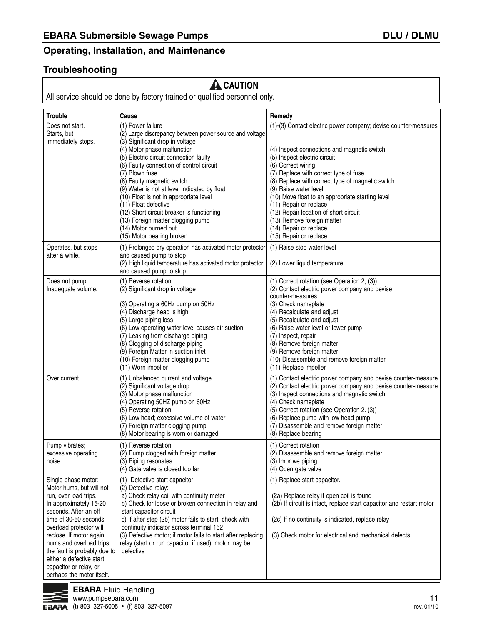### **Troubleshooting**

# **A** CAUTION

All service should be done by factory trained or qualified personnel only.

| <b>Trouble</b>                                                                                                                                                                                                                                                                                                                                             | Cause                                                                                                                                                                                                                                                                                                                                                                                                                            | Remedy                                                                                                                                                                                                                                                                                                                                                                                                                           |
|------------------------------------------------------------------------------------------------------------------------------------------------------------------------------------------------------------------------------------------------------------------------------------------------------------------------------------------------------------|----------------------------------------------------------------------------------------------------------------------------------------------------------------------------------------------------------------------------------------------------------------------------------------------------------------------------------------------------------------------------------------------------------------------------------|----------------------------------------------------------------------------------------------------------------------------------------------------------------------------------------------------------------------------------------------------------------------------------------------------------------------------------------------------------------------------------------------------------------------------------|
| Does not start.<br>Starts, but<br>immediately stops.                                                                                                                                                                                                                                                                                                       | (1) Power failure<br>(2) Large discrepancy between power source and voltage<br>(3) Significant drop in voltage                                                                                                                                                                                                                                                                                                                   | (1)-(3) Contact electric power company; devise counter-measures                                                                                                                                                                                                                                                                                                                                                                  |
|                                                                                                                                                                                                                                                                                                                                                            | (4) Motor phase malfunction<br>(5) Electric circuit connection faulty<br>(6) Faulty connection of control circuit<br>(7) Blown fuse<br>(8) Faulty magnetic switch<br>(9) Water is not at level indicated by float<br>(10) Float is not in appropriate level<br>(11) Float defective<br>(12) Short circuit breaker is functioning<br>(13) Foreign matter clogging pump<br>(14) Motor burned out<br>(15) Motor bearing broken      | (4) Inspect connections and magnetic switch<br>(5) Inspect electric circuit<br>(6) Correct wiring<br>(7) Replace with correct type of fuse<br>(8) Replace with correct type of magnetic switch<br>(9) Raise water level<br>(10) Move float to an appropriate starting level<br>(11) Repair or replace<br>(12) Repair location of short circuit<br>(13) Remove foreign matter<br>(14) Repair or replace<br>(15) Repair or replace |
| Operates, but stops<br>after a while.                                                                                                                                                                                                                                                                                                                      | (1) Prolonged dry operation has activated motor protector<br>and caused pump to stop<br>(2) High liquid temperature has activated motor protector<br>and caused pump to stop                                                                                                                                                                                                                                                     | (1) Raise stop water level<br>(2) Lower liquid temperature                                                                                                                                                                                                                                                                                                                                                                       |
| Does not pump.<br>Inadequate volume.                                                                                                                                                                                                                                                                                                                       | (1) Reverse rotation<br>(2) Significant drop in voltage<br>(3) Operating a 60Hz pump on 50Hz<br>(4) Discharge head is high<br>(5) Large piping loss<br>(6) Low operating water level causes air suction<br>(7) Leaking from discharge piping<br>(8) Clogging of discharge piping<br>(9) Foreign Matter in suction inlet<br>(10) Foreign matter clogging pump                                                                     | (1) Correct rotation (see Operation 2, (3))<br>(2) Contact electric power company and devise<br>counter-measures<br>(3) Check nameplate<br>(4) Recalculate and adjust<br>(5) Recalculate and adjust<br>(6) Raise water level or lower pump<br>(7) Inspect, repair<br>(8) Remove foreign matter<br>(9) Remove foreign matter<br>(10) Disassemble and remove foreign matter                                                        |
| Over current                                                                                                                                                                                                                                                                                                                                               | (11) Worn impeller<br>(1) Unbalanced current and voltage<br>(2) Significant voltage drop<br>(3) Motor phase malfunction<br>(4) Operating 50HZ pump on 60Hz<br>(5) Reverse rotation<br>(6) Low head; excessive volume of water<br>(7) Foreign matter clogging pump<br>(8) Motor bearing is worn or damaged                                                                                                                        | (11) Replace impeller<br>(1) Contact electric power company and devise counter-measure<br>(2) Contact electric power company and devise counter-measure<br>(3) Inspect connections and magnetic switch<br>(4) Check nameplate<br>(5) Correct rotation (see Operation 2. (3))<br>(6) Replace pump with low head pump<br>(7) Disassemble and remove foreign matter<br>(8) Replace bearing                                          |
| Pump vibrates;<br>excessive operating<br>noise.                                                                                                                                                                                                                                                                                                            | (1) Reverse rotation<br>(2) Pump clogged with foreign matter<br>(3) Piping resonates<br>(4) Gate valve is closed too far                                                                                                                                                                                                                                                                                                         | (1) Correct rotation<br>(2) Disassemble and remove foreign matter<br>(3) Improve piping<br>(4) Open gate valve                                                                                                                                                                                                                                                                                                                   |
| Single phase motor:<br>Motor hums, but will not<br>run, over load trips.<br>In approximately 15-20<br>seconds. After an off<br>time of 30-60 seconds,<br>overload protector will<br>reclose. If motor again<br>hums and overload trips,<br>the fault is probably due to<br>either a defective start<br>capacitor or relay, or<br>perhaps the motor itself. | (1) Defective start capacitor<br>(2) Defective relay:<br>a) Check relay coil with continuity meter<br>b) Check for loose or broken connection in relay and<br>start capacitor circuit<br>c) If after step (2b) motor fails to start, check with<br>continuity indicator across terminal 162<br>(3) Defective motor; if motor fails to start after replacing<br>relay (start or run capacitor if used), motor may be<br>defective | (1) Replace start capacitor.<br>(2a) Replace relay if open coil is found<br>(2b) If circuit is intact, replace start capacitor and restart motor<br>(2c) If no continuity is indicated, replace relay<br>(3) Check motor for electrical and mechanical defects                                                                                                                                                                   |

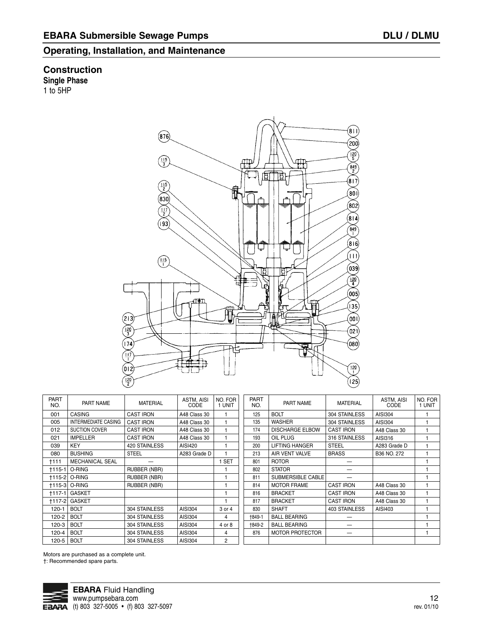#### **Construction Single Phase**

1 to 5HP

 $(81)$  $(876)$  $\widehat{200}$  $\widetilde{\frac{120}{5}}$  $\frac{115}{3}$ ∰ب  $\frac{849}{2}$ बाना ब  $\binom{1}{8}$  $\frac{115}{2}$ ۴  $\widehat{800}$ (830  $(802)$  $\widetilde{\mathbb{F}}$  $(814)$  $(193)$  $\frac{849}{1}$  $(816)$ لہا  $(11)$  $\sqrt{\frac{115}{1}}$  $(039)$ 回 ₽  $\left(\frac{120}{4}\right)$ 向上  $(005)$  $(135)$ 磵 IA  $(2|3)$ (001)  $\frac{120}{3}$ (021) (174  $($ 080 $)$  $\frac{117}{1}$  $\frac{120}{1}$ (012  $\frac{120}{2}$  $(25)$ 

PART NO. 001 005 012 021 039 080 †111 †115-1 O-RING †115-2 O-RING †115-3 O-RING †117-1 GASKET †117-2 GASKET 120-1 BOLT 120-2 120-3 BOLT 120-4 BOLT 120-5 BOLT PART NAME **CASING** INTERMEDIATE CASING SUCTION COVER IMPELLER KEY **BUSHING** MECHANICAL SEAL **BOLT** MATERIAL CAST IRON CAST IRON CAST IRON CAST IRON 420 STAINLESS STEEL — RUBBER (NBR) RUBBER (NBR) RUBBER (NBR) 304 STAINLESS 304 STAINLESS 304 STAINLESS 304 STAINLESS 304 STAINLESS ASTM, AISI CODE A48 Class 30 A48 Class 30 A48 Class 30 A48 Class 30 AISI420 A283 Grade D AISI304 AISI304 AISI304 AISI304 AISI304 NO. FOR 1 UNIT 1 1 1 1 1 1 1 SET 1 1 1 1 1 3 or 4 4 4 or 8 4  $\frac{1}{2}$ PART NO. 125 135 174 193 200 213 801 802 811 814 816 817 830 †849-1 †849-2 876

| <b>PART</b><br>NO. | PART NAME              | <b>MATERIAL</b>      | ASTM, AISI<br>CODE | NO. FOR<br>1 UNIT |
|--------------------|------------------------|----------------------|--------------------|-------------------|
| 125                | <b>BOLT</b>            | 304 STAINLESS        | AISI304            |                   |
| 135                | <b>WASHER</b>          | 304 STAINLESS        | AISI304            |                   |
| 174                | <b>DISCHARGE ELBOW</b> | <b>CAST IRON</b>     | A48 Class 30       |                   |
| 193                | OIL PLUG               | 316 STAINLESS        | AISI316            |                   |
| 200                | <b>LIFTING HANGER</b>  | <b>STEEL</b>         | A283 Grade D       |                   |
| 213                | AIR VENT VALVE         | <b>BRASS</b>         | B36 NO. 272        |                   |
| 801                | <b>ROTOR</b>           |                      |                    |                   |
| 802                | <b>STATOR</b>          |                      |                    |                   |
| 811                | SUBMERSIBLE CABLE      |                      |                    |                   |
| 814                | <b>MOTOR FRAME</b>     | <b>CAST IRON</b>     | A48 Class 30       |                   |
| 816                | <b>BRACKET</b>         | <b>CAST IRON</b>     | A48 Class 30       |                   |
| 817                | <b>BRACKET</b>         | <b>CAST IRON</b>     | A48 Class 30       |                   |
| 830                | <b>SHAFT</b>           | <b>403 STAINLESS</b> | AISI403            |                   |
| +849-1             | <b>BALL BEARING</b>    |                      |                    |                   |
| +849-2             | <b>BALL BEARING</b>    |                      |                    |                   |
| 876                | <b>MOTOR PROTECTOR</b> |                      |                    |                   |
|                    |                        |                      |                    |                   |

Motors are purchased as a complete unit.

†: Recommended spare parts.

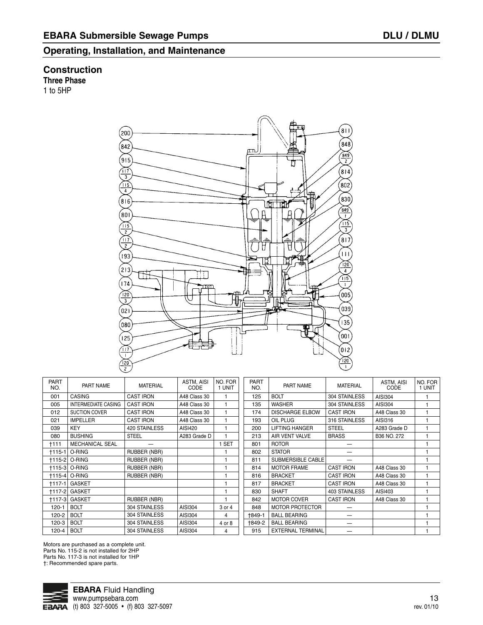### **Construction**

**Three Phase**

1 to 5HP



| <b>PART</b><br>NO. | PART NAME                  | <b>MATERIAL</b>     | ASTM, AISI<br>CODE | NO. FOR<br>1 UNIT | <b>PART</b><br>NO. | PAR <sub>1</sub> |
|--------------------|----------------------------|---------------------|--------------------|-------------------|--------------------|------------------|
| 001                | <b>CASING</b>              | <b>CAST IRON</b>    | A48 Class 30       | 1                 | 125                | <b>BOLT</b>      |
| 005                | <b>INTERMEDIATE CASING</b> | <b>CAST IRON</b>    | A48 Class 30       | 1                 | 135                | <b>WASHER</b>    |
| 012                | <b>SUCTION COVER</b>       | <b>CAST IRON</b>    | A48 Class 30       | 1                 | 174                | <b>DISCHAR</b>   |
| 021                | <b>IMPELLER</b>            | <b>CAST IRON</b>    | A48 Class 30       | 1                 | 193                | OIL PLUG         |
| 039                | <b>KEY</b>                 | 420 STAINLESS       | AISI420            | 1                 | 200                | <b>LIFTING H</b> |
| 080                | <b>BUSHING</b>             | <b>STEEL</b>        | A283 Grade D       | 1                 | 213                | <b>AIR VENT</b>  |
| †111               | <b>MECHANICAL SEAL</b>     |                     |                    | 1 SET             | 801                | <b>ROTOR</b>     |
| $+115-1$           | O-RING                     | RUBBER (NBR)        |                    |                   | 802                | <b>STATOR</b>    |
|                    | <b>+115-2 O-RING</b>       | <b>RUBBER (NBR)</b> |                    | 1                 | 811                | <b>SUBMERS</b>   |
|                    | <b>+115-3 O-RING</b>       | <b>RUBBER (NBR)</b> |                    | 1                 | 814                | <b>MOTOR F</b>   |
| $+115-4$           | O-RING                     | RUBBER (NBR)        |                    | 1                 | 816                | <b>BRACKET</b>   |
| $+117-1$           | <b>GASKET</b>              |                     |                    | 1                 | 817                | <b>BRACKET</b>   |
|                    | <b>+117-2 GASKET</b>       |                     |                    | 1                 | 830                | <b>SHAFT</b>     |
| $+117-3$           | <b>GASKET</b>              | RUBBER (NBR)        |                    | 1                 | 842                | <b>MOTOR C</b>   |
| $120 - 1$          | <b>BOLT</b>                | 304 STAINLESS       | AISI304            | 3 or 4            | 848                | <b>MOTOR P</b>   |
| 120-2              | <b>BOLT</b>                | 304 STAINLESS       | AISI304            | 4                 | +849-1             | <b>BALL BEA</b>  |
| 120-3              | <b>BOLT</b>                | 304 STAINLESS       | AISI304            | 4 or 8            | †849-2             | <b>BALL BEA</b>  |
| 120-4              | <b>BOLT</b>                | 304 STAINLESS       | AISI304            | 4                 | 915                | <b>EXTERNA</b>   |
|                    |                            |                     |                    |                   |                    |                  |

| <b>PART</b><br>NO. | PART NAME              | <b>MATERIAL</b>      | ASTM, AISI<br>CODE | NO. FOR<br>1 UNIT |
|--------------------|------------------------|----------------------|--------------------|-------------------|
| 125                | <b>BOLT</b>            | 304 STAINLESS        | AISI304            | 1                 |
| 135                | <b>WASHER</b>          | 304 STAINLESS        | AISI304            |                   |
| 174                | <b>DISCHARGE ELBOW</b> | <b>CAST IRON</b>     | A48 Class 30       | 1                 |
| 193                | OIL PLUG               | 316 STAINLESS        | AISI316            | 1                 |
| 200                | <b>LIFTING HANGER</b>  | <b>STEEL</b>         | A283 Grade D       | 1                 |
| 213                | AIR VENT VALVE         | <b>BRASS</b>         | B36 NO. 272        | 1                 |
| 801                | <b>ROTOR</b>           |                      |                    |                   |
| 802                | <b>STATOR</b>          |                      |                    | 1                 |
| 811                | SUBMERSIBLE CABLE      |                      |                    | 1                 |
| 814                | <b>MOTOR FRAME</b>     | <b>CAST IRON</b>     | A48 Class 30       | 1                 |
| 816                | <b>BRACKET</b>         | <b>CAST IRON</b>     | A48 Class 30       | 1                 |
| 817                | <b>BRACKET</b>         | <b>CAST IRON</b>     | A48 Class 30       |                   |
| 830                | SHAFT                  | <b>403 STAINLESS</b> | AISI403            | 1                 |
| 842                | <b>MOTOR COVER</b>     | <b>CAST IRON</b>     | A48 Class 30       | 1                 |
| 848                | <b>MOTOR PROTECTOR</b> |                      |                    | 1                 |
| +849-1             | <b>BALL BEARING</b>    |                      |                    |                   |
| +849-2             | <b>BALL BEARING</b>    |                      |                    |                   |
| 915                | EXTERNAL TERMINAL      |                      |                    | 1                 |

Motors are purchased as a complete unit. Parts No. 115-2 is not installed for 2HP Parts No. 117-3 is not installed for 1HP †: Recommended spare parts.

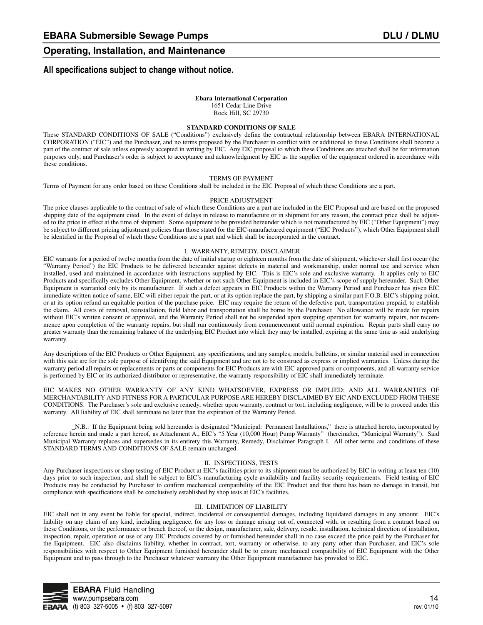#### **All specifications subject to change without notice.**

#### **Ebara International Corporation**

1651 Cedar Line Drive Rock Hill, SC 29730

#### **STANDARD CONDITIONS OF SALE**

These STANDARD CONDITIONS OF SALE ("Conditions") exclusively define the contractual relationship between EBARA INTERNATIONAL CORPORATION ("EIC") and the Purchaser, and no terms proposed by the Purchaser in conflict with or additional to these Conditions shall become a part of the contract of sale unless expressly accepted in writing by EIC. Any EIC proposal to which these Conditions are attached shall be for information purposes only, and Purchaser's order is subject to acceptance and acknowledgment by EIC as the supplier of the equipment ordered in accordance with these conditions.

#### TERMS OF PAYMENT

Terms of Payment for any order based on these Conditions shall be included in the EIC Proposal of which these Conditions are a part.

#### PRICE ADJUSTMENT

The price clauses applicable to the contract of sale of which these Conditions are a part are included in the EIC Proposal and are based on the proposed shipping date of the equipment cited. In the event of delays in release to manufacture or in shipment for any reason, the contract price shall be adjusted to the price in effect at the time of shipment. Some equipment to be provided hereunder which is not manufactured by EIC ("Other Equipment") may be subject to different pricing adjustment policies than those stated for the EIC-manufactured equipment ("EIC Products"), which Other Equipment shall be identified in the Proposal of which these Conditions are a part and which shall be incorporated in the contract.

#### I. WARRANTY, REMEDY, DISCLAIMER

EIC warrants for a period of twelve months from the date of initial startup or eighteen months from the date of shipment, whichever shall first occur (the "Warranty Period") the EIC Products to be delivered hereunder against defects in material and workmanship, under normal use and service when installed, used and maintained in accordance with instructions supplied by EIC. This is EIC's sole and exclusive warranty. It applies only to EIC Products and specifically excludes Other Equipment, whether or not such Other Equipment is included in EIC's scope of supply hereunder. Such Other Equipment is warranted only by its manufacturer. If such a defect appears in EIC Products within the Warranty Period and Purchaser has given EIC immediate written notice of same, EIC will either repair the part, or at its option replace the part, by shipping a similar part F.O.B. EIC's shipping point, or at its option refund an equitable portion of the purchase price. EIC may require the return of the defective part, transportation prepaid, to establish the claim. All costs of removal, reinstallation, field labor and transportation shall be borne by the Purchaser. No allowance will be made for repairs without EIC's written consent or approval, and the Warranty Period shall not be suspended upon stopping operation for warranty repairs, nor recommence upon completion of the warranty repairs, but shall run continuously from commencement until normal expiration. Repair parts shall carry no greater warranty than the remaining balance of the underlying EIC Product into which they may be installed, expiring at the same time as said underlying warranty.

Any descriptions of the EIC Products or Other Equipment, any specifications, and any samples, models, bulletins, or similar material used in connection with this sale are for the sole purpose of identifying the said Equipment and are not to be construed as express or implied warranties. Unless during the warranty period all repairs or replacements or parts or components for EIC Products are with EIC-approved parts or components, and all warranty service is performed by EIC or its authorized distributor or representative, the warranty responsibility of EIC shall immediately terminate.

EIC MAKES NO OTHER WARRANTY OF ANY KIND WHATSOEVER, EXPRESS OR IMPLIED; AND ALL WARRANTIES OF MERCHANTABILITY AND FITNESS FOR A PARTICULAR PURPOSE ARE HEREBY DISCLAIMED BY EIC AND EXCLUDED FROM THESE CONDITIONS. The Purchaser's sole and exclusive remedy, whether upon warranty, contract or tort, including negligence, will be to proceed under this warranty. All liability of EIC shall terminate no later than the expiration of the Warranty Period.

\_N.B.: If the Equipment being sold hereunder is designated "Municipal: Permanent Installations," there is attached hereto, incorporated by reference herein and made a part hereof, as Attachment A., EIC's "5 Year (10,000 Hour) Pump Warranty" (hereinafter, "Municipal Warranty"). Said Municipal Warranty replaces and supersedes in its entirety this Warranty, Remedy, Disclaimer Paragraph I. All other terms and conditions of these STANDARD TERMS AND CONDITIONS OF SALE remain unchanged.

#### II. INSPECTIONS, TESTS

Any Purchaser inspections or shop testing of EIC Product at EIC's facilities prior to its shipment must be authorized by EIC in writing at least ten (10) days prior to such inspection, and shall be subject to EIC's manufacturing cycle availability and facility security requirements. Field testing of EIC Products may be conducted by Purchaser to confirm mechanical compatibility of the EIC Product and that there has been no damage in transit, but compliance with specifications shall be conclusively established by shop tests at EIC's facilities.

#### III. LIMITATION OF LIABILITY

EIC shall not in any event be liable for special, indirect, incidental or consequential damages, including liquidated damages in any amount. EIC's liability on any claim of any kind, including negligence, for any loss or damage arising out of, connected with, or resulting from a contract based on these Conditions, or the performance or breach thereof, or the design, manufacturer, sale, delivery, resale, installation, technical direction of installation, inspection, repair, operation or use of any EIC Products covered by or furnished hereunder shall in no case exceed the price paid by the Purchaser for the Equipment. EIC also disclaims liability, whether in contract, tort, warranty or otherwise, to any party other than Purchaser, and EIC's sole responsibilities with respect to Other Equipment furnished hereunder shall be to ensure mechanical compatibility of EIC Equipment with the Other Equipment and to pass through to the Purchaser whatever warranty the Other Equipment manufacturer has provided to EIC.

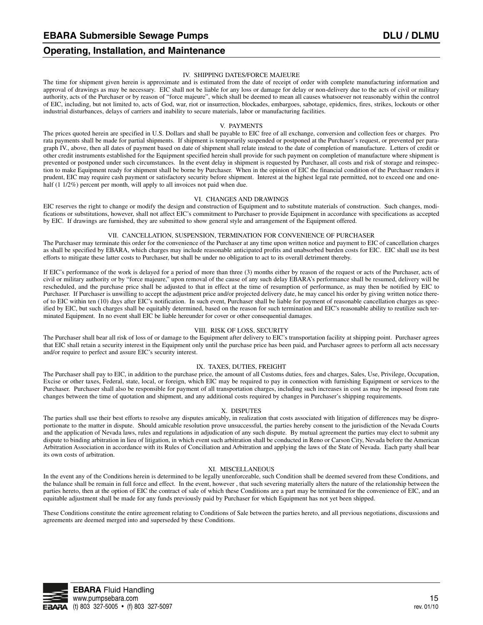#### IV. SHIPPING DATES/FORCE MAJEURE

The time for shipment given herein is approximate and is estimated from the date of receipt of order with complete manufacturing information and approval of drawings as may be necessary. EIC shall not be liable for any loss or damage for delay or non-delivery due to the acts of civil or military authority, acts of the Purchaser or by reason of "force majeure", which shall be deemed to mean all causes whatsoever not reasonably within the control of EIC, including, but not limited to, acts of God, war, riot or insurrection, blockades, embargoes, sabotage, epidemics, fires, strikes, lockouts or other industrial disturbances, delays of carriers and inability to secure materials, labor or manufacturing facilities.

#### V. PAYMENTS

The prices quoted herein are specified in U.S. Dollars and shall be payable to EIC free of all exchange, conversion and collection fees or charges. Pro rata payments shall be made for partial shipments. If shipment is temporarily suspended or postponed at the Purchaser's request, or prevented per paragraph IV., above, then all dates of payment based on date of shipment shall relate instead to the date of completion of manufacture. Letters of credit or other credit instruments established for the Equipment specified herein shall provide for such payment on completion of manufacture where shipment is prevented or postponed under such circumstances. In the event delay in shipment is requested by Purchaser, all costs and risk of storage and reinspection to make Equipment ready for shipment shall be borne by Purchaser. When in the opinion of EIC the financial condition of the Purchaser renders it prudent, EIC may require cash payment or satisfactory security before shipment. Interest at the highest legal rate permitted, not to exceed one and onehalf (1 1/2%) percent per month, will apply to all invoices not paid when due.

#### VI. CHANGES AND DRAWINGS

EIC reserves the right to change or modify the design and construction of Equipment and to substitute materials of construction. Such changes, modifications or substitutions, however, shall not affect EIC's commitment to Purchaser to provide Equipment in accordance with specifications as accepted by EIC. If drawings are furnished, they are submitted to show general style and arrangement of the Equipment offered.

#### VII. CANCELLATION, SUSPENSION, TERMINATION FOR CONVENIENCE OF PURCHASER

The Purchaser may terminate this order for the convenience of the Purchaser at any time upon written notice and payment to EIC of cancellation charges as shall be specified by EBARA, which charges may include reasonable anticipated profits and unabsorbed burden costs for EIC. EIC shall use its best efforts to mitigate these latter costs to Purchaser, but shall be under no obligation to act to its overall detriment thereby.

If EIC's performance of the work is delayed for a period of more than three (3) months either by reason of the request or acts of the Purchaser, acts of civil or military authority or by "force majeure," upon removal of the cause of any such delay EBARA's performance shall be resumed, delivery will be rescheduled, and the purchase price shall be adjusted to that in effect at the time of resumption of performance, as may then be notified by EIC to Purchaser. If Purchaser is unwilling to accept the adjustment price and/or projected delivery date, he may cancel his order by giving written notice thereof to EIC within ten (10) days after EIC's notification. In such event, Purchaser shall be liable for payment of reasonable cancellation charges as specified by EIC, but such charges shall be equitably determined, based on the reason for such termination and EIC's reasonable ability to reutilize such terminated Equipment. In no event shall EIC be liable hereunder for cover or other consequential damages.

#### VIII. RISK OF LOSS, SECURITY

The Purchaser shall bear all risk of loss of or damage to the Equipment after delivery to EIC's transportation facility at shipping point. Purchaser agrees that EIC shall retain a security interest in the Equipment only until the purchase price has been paid, and Purchaser agrees to perform all acts necessary and/or require to perfect and assure EIC's security interest.

#### IX. TAXES, DUTIES, FREIGHT

The Purchaser shall pay to EIC, in addition to the purchase price, the amount of all Customs duties, fees and charges, Sales, Use, Privilege, Occupation, Excise or other taxes, Federal, state, local, or foreign, which EIC may be required to pay in connection with furnishing Equipment or services to the Purchaser. Purchaser shall also be responsible for payment of all transportation charges, including such increases in cost as may be imposed from rate changes between the time of quotation and shipment, and any additional costs required by changes in Purchaser's shipping requirements.

#### X. DISPUTES

The parties shall use their best efforts to resolve any disputes amicably, in realization that costs associated with litigation of differences may be disproportionate to the matter in dispute. Should amicable resolution prove unsuccessful, the parties hereby consent to the jurisdiction of the Nevada Courts and the application of Nevada laws, rules and regulations in adjudication of any such dispute. By mutual agreement the parties may elect to submit any dispute to binding arbitration in lieu of litigation, in which event such arbitration shall be conducted in Reno or Carson City, Nevada before the American Arbitration Association in accordance with its Rules of Conciliation and Arbitration and applying the laws of the State of Nevada. Each party shall bear its own costs of arbitration.

#### XI. MISCELLANEOUS

In the event any of the Conditions herein is determined to be legally unenforceable, such Condition shall be deemed severed from these Conditions, and the balance shall be remain in full force and effect. In the event, however , that such severing materially alters the nature of the relationship between the parties hereto, then at the option of EIC the contract of sale of which these Conditions are a part may be terminated for the convenience of EIC, and an equitable adjustment shall be made for any funds previously paid by Purchaser for which Equipment has not yet been shipped.

These Conditions constitute the entire agreement relating to Conditions of Sale between the parties hereto, and all previous negotiations, discussions and agreements are deemed merged into and superseded by these Conditions.